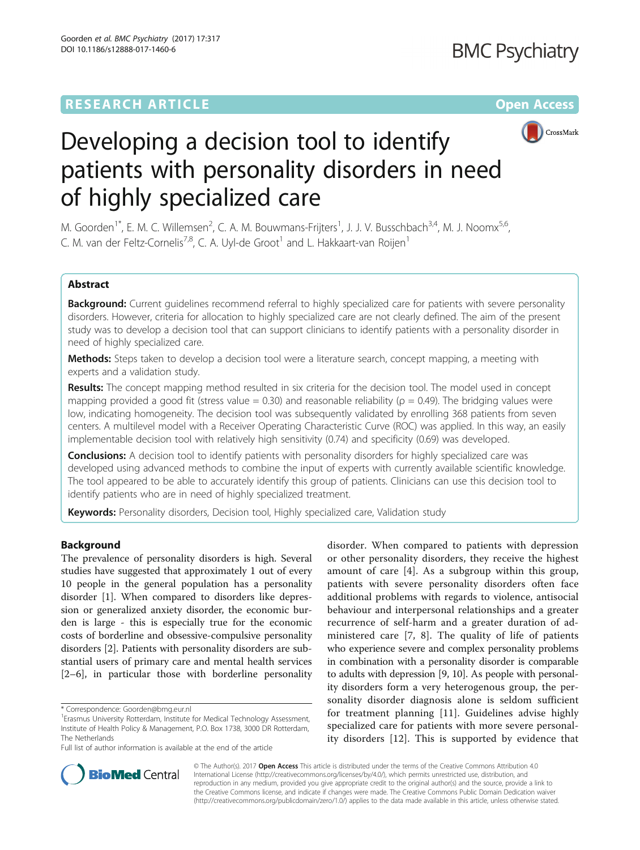# **RESEARCH ARTICLE External Structure Community Community Community Community Community Community Community Community**



# Developing a decision tool to identify patients with personality disorders in need of highly specialized care

M. Goorden<sup>1\*</sup>, E. M. C. Willemsen<sup>2</sup>, C. A. M. Bouwmans-Frijters<sup>1</sup>, J. J. V. Busschbach<sup>3,4</sup>, M. J. Noomx<sup>5,6</sup>, C. M. van der Feltz-Cornelis<sup>7,8</sup>, C. A. Uyl-de Groot<sup>1</sup> and L. Hakkaart-van Roijen<sup>1</sup>

# Abstract

Background: Current guidelines recommend referral to highly specialized care for patients with severe personality disorders. However, criteria for allocation to highly specialized care are not clearly defined. The aim of the present study was to develop a decision tool that can support clinicians to identify patients with a personality disorder in need of highly specialized care.

**Methods:** Steps taken to develop a decision tool were a literature search, concept mapping, a meeting with experts and a validation study.

Results: The concept mapping method resulted in six criteria for the decision tool. The model used in concept mapping provided a good fit (stress value = 0.30) and reasonable reliability ( $\rho$  = 0.49). The bridging values were low, indicating homogeneity. The decision tool was subsequently validated by enrolling 368 patients from seven centers. A multilevel model with a Receiver Operating Characteristic Curve (ROC) was applied. In this way, an easily implementable decision tool with relatively high sensitivity (0.74) and specificity (0.69) was developed.

**Conclusions:** A decision tool to identify patients with personality disorders for highly specialized care was developed using advanced methods to combine the input of experts with currently available scientific knowledge. The tool appeared to be able to accurately identify this group of patients. Clinicians can use this decision tool to identify patients who are in need of highly specialized treatment.

**Keywords:** Personality disorders, Decision tool, Highly specialized care, Validation study

# Background

The prevalence of personality disorders is high. Several studies have suggested that approximately 1 out of every 10 people in the general population has a personality disorder [[1\]](#page-11-0). When compared to disorders like depression or generalized anxiety disorder, the economic burden is large - this is especially true for the economic costs of borderline and obsessive-compulsive personality disorders [\[2](#page-11-0)]. Patients with personality disorders are substantial users of primary care and mental health services [[2](#page-11-0)–[6\]](#page-11-0), in particular those with borderline personality

disorder. When compared to patients with depression or other personality disorders, they receive the highest amount of care [[4\]](#page-11-0). As a subgroup within this group, patients with severe personality disorders often face additional problems with regards to violence, antisocial behaviour and interpersonal relationships and a greater recurrence of self-harm and a greater duration of administered care [[7](#page-11-0), [8\]](#page-11-0). The quality of life of patients who experience severe and complex personality problems in combination with a personality disorder is comparable to adults with depression [\[9](#page-11-0), [10](#page-11-0)]. As people with personality disorders form a very heterogenous group, the personality disorder diagnosis alone is seldom sufficient for treatment planning [[11\]](#page-11-0). Guidelines advise highly specialized care for patients with more severe personality disorders [[12\]](#page-11-0). This is supported by evidence that



© The Author(s). 2017 **Open Access** This article is distributed under the terms of the Creative Commons Attribution 4.0 International License [\(http://creativecommons.org/licenses/by/4.0/](http://creativecommons.org/licenses/by/4.0/)), which permits unrestricted use, distribution, and reproduction in any medium, provided you give appropriate credit to the original author(s) and the source, provide a link to the Creative Commons license, and indicate if changes were made. The Creative Commons Public Domain Dedication waiver [\(http://creativecommons.org/publicdomain/zero/1.0/](http://creativecommons.org/publicdomain/zero/1.0/)) applies to the data made available in this article, unless otherwise stated.

<sup>\*</sup> Correspondence: [Goorden@bmg.eur.nl](mailto:Goorden@bmg.eur.nl) <sup>1</sup>

<sup>&</sup>lt;sup>1</sup> Erasmus University Rotterdam, Institute for Medical Technology Assessment, Institute of Health Policy & Management, P.O. Box 1738, 3000 DR Rotterdam, The Netherlands

Full list of author information is available at the end of the article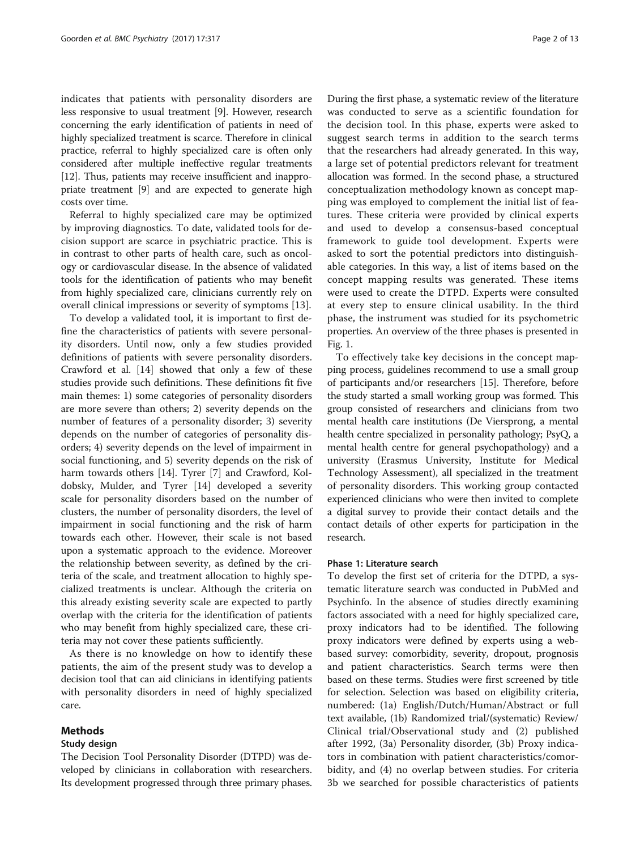indicates that patients with personality disorders are less responsive to usual treatment [[9](#page-11-0)]. However, research concerning the early identification of patients in need of highly specialized treatment is scarce. Therefore in clinical practice, referral to highly specialized care is often only considered after multiple ineffective regular treatments [[12](#page-11-0)]. Thus, patients may receive insufficient and inappropriate treatment [[9](#page-11-0)] and are expected to generate high costs over time.

Referral to highly specialized care may be optimized by improving diagnostics. To date, validated tools for decision support are scarce in psychiatric practice. This is in contrast to other parts of health care, such as oncology or cardiovascular disease. In the absence of validated tools for the identification of patients who may benefit from highly specialized care, clinicians currently rely on overall clinical impressions or severity of symptoms [[13](#page-11-0)].

To develop a validated tool, it is important to first define the characteristics of patients with severe personality disorders. Until now, only a few studies provided definitions of patients with severe personality disorders. Crawford et al. [\[14](#page-11-0)] showed that only a few of these studies provide such definitions. These definitions fit five main themes: 1) some categories of personality disorders are more severe than others; 2) severity depends on the number of features of a personality disorder; 3) severity depends on the number of categories of personality disorders; 4) severity depends on the level of impairment in social functioning, and 5) severity depends on the risk of harm towards others [[14\]](#page-11-0). Tyrer [\[7](#page-11-0)] and Crawford, Koldobsky, Mulder, and Tyrer [\[14](#page-11-0)] developed a severity scale for personality disorders based on the number of clusters, the number of personality disorders, the level of impairment in social functioning and the risk of harm towards each other. However, their scale is not based upon a systematic approach to the evidence. Moreover the relationship between severity, as defined by the criteria of the scale, and treatment allocation to highly specialized treatments is unclear. Although the criteria on this already existing severity scale are expected to partly overlap with the criteria for the identification of patients who may benefit from highly specialized care, these criteria may not cover these patients sufficiently.

As there is no knowledge on how to identify these patients, the aim of the present study was to develop a decision tool that can aid clinicians in identifying patients with personality disorders in need of highly specialized care.

## Methods

#### Study design

The Decision Tool Personality Disorder (DTPD) was developed by clinicians in collaboration with researchers. Its development progressed through three primary phases.

During the first phase, a systematic review of the literature was conducted to serve as a scientific foundation for the decision tool. In this phase, experts were asked to suggest search terms in addition to the search terms that the researchers had already generated. In this way, a large set of potential predictors relevant for treatment allocation was formed. In the second phase, a structured conceptualization methodology known as concept mapping was employed to complement the initial list of features. These criteria were provided by clinical experts and used to develop a consensus-based conceptual framework to guide tool development. Experts were asked to sort the potential predictors into distinguishable categories. In this way, a list of items based on the concept mapping results was generated. These items were used to create the DTPD. Experts were consulted at every step to ensure clinical usability. In the third phase, the instrument was studied for its psychometric properties. An overview of the three phases is presented in Fig. [1](#page-2-0).

To effectively take key decisions in the concept mapping process, guidelines recommend to use a small group of participants and/or researchers [[15](#page-11-0)]. Therefore, before the study started a small working group was formed. This group consisted of researchers and clinicians from two mental health care institutions (De Viersprong, a mental health centre specialized in personality pathology; PsyQ, a mental health centre for general psychopathology) and a university (Erasmus University, Institute for Medical Technology Assessment), all specialized in the treatment of personality disorders. This working group contacted experienced clinicians who were then invited to complete a digital survey to provide their contact details and the contact details of other experts for participation in the research.

#### Phase 1: Literature search

To develop the first set of criteria for the DTPD, a systematic literature search was conducted in PubMed and Psychinfo. In the absence of studies directly examining factors associated with a need for highly specialized care, proxy indicators had to be identified. The following proxy indicators were defined by experts using a webbased survey: comorbidity, severity, dropout, prognosis and patient characteristics. Search terms were then based on these terms. Studies were first screened by title for selection. Selection was based on eligibility criteria, numbered: (1a) English/Dutch/Human/Abstract or full text available, (1b) Randomized trial/(systematic) Review/ Clinical trial/Observational study and (2) published after 1992, (3a) Personality disorder, (3b) Proxy indicators in combination with patient characteristics/comorbidity, and (4) no overlap between studies. For criteria 3b we searched for possible characteristics of patients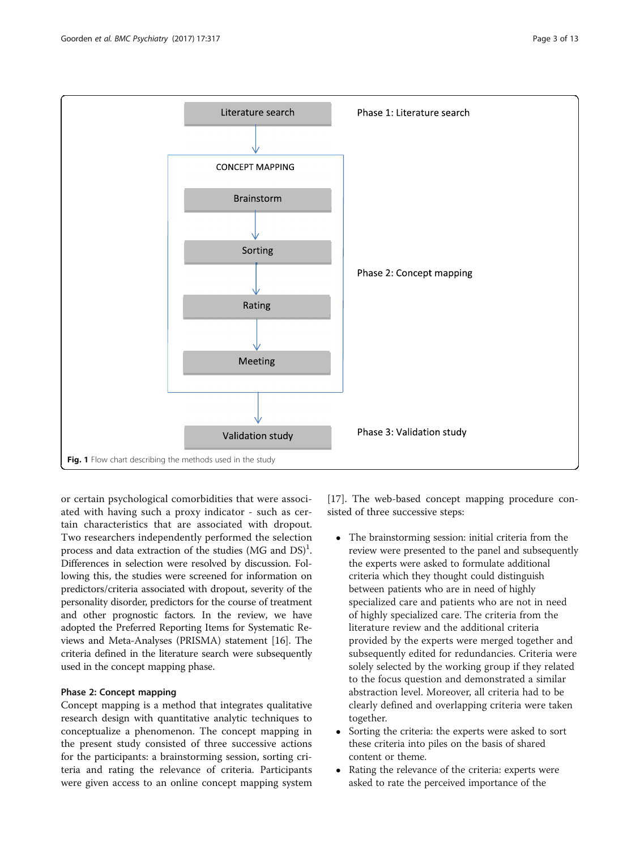<span id="page-2-0"></span>

or certain psychological comorbidities that were associated with having such a proxy indicator - such as certain characteristics that are associated with dropout. Two researchers independently performed the selection process and data extraction of the studies  $(MG \text{ and } DS)^1$ . Differences in selection were resolved by discussion. Following this, the studies were screened for information on predictors/criteria associated with dropout, severity of the personality disorder, predictors for the course of treatment and other prognostic factors. In the review, we have adopted the Preferred Reporting Items for Systematic Reviews and Meta-Analyses (PRISMA) statement [[16](#page-11-0)]. The criteria defined in the literature search were subsequently used in the concept mapping phase.

# Phase 2: Concept mapping

Concept mapping is a method that integrates qualitative research design with quantitative analytic techniques to conceptualize a phenomenon. The concept mapping in the present study consisted of three successive actions for the participants: a brainstorming session, sorting criteria and rating the relevance of criteria. Participants were given access to an online concept mapping system

[[17\]](#page-11-0). The web-based concept mapping procedure consisted of three successive steps:

- The brainstorming session: initial criteria from the review were presented to the panel and subsequently the experts were asked to formulate additional criteria which they thought could distinguish between patients who are in need of highly specialized care and patients who are not in need of highly specialized care. The criteria from the literature review and the additional criteria provided by the experts were merged together and subsequently edited for redundancies. Criteria were solely selected by the working group if they related to the focus question and demonstrated a similar abstraction level. Moreover, all criteria had to be clearly defined and overlapping criteria were taken together.
- Sorting the criteria: the experts were asked to sort these criteria into piles on the basis of shared content or theme.
- Rating the relevance of the criteria: experts were asked to rate the perceived importance of the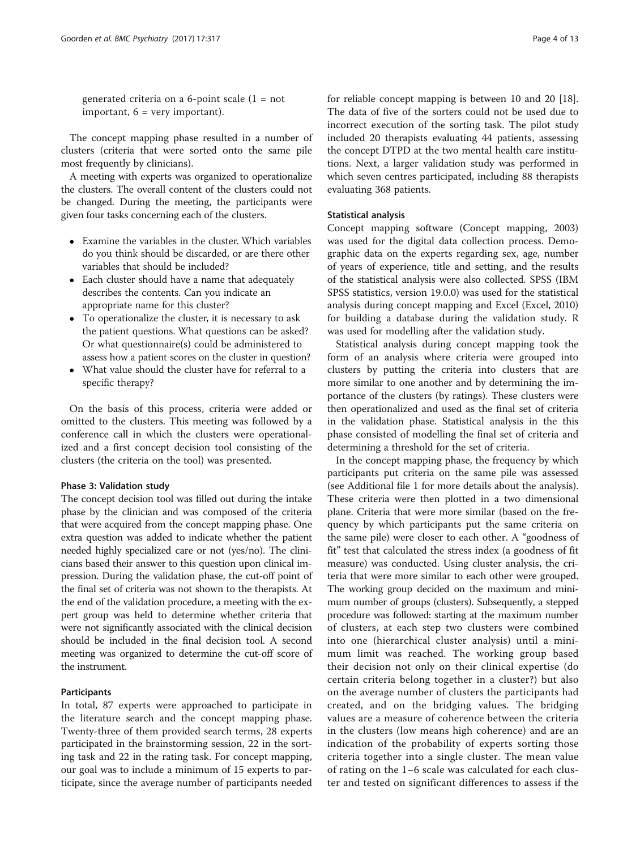generated criteria on a 6-point scale (1 = not important,  $6 = \text{very important}$ .

The concept mapping phase resulted in a number of clusters (criteria that were sorted onto the same pile most frequently by clinicians).

A meeting with experts was organized to operationalize the clusters. The overall content of the clusters could not be changed. During the meeting, the participants were given four tasks concerning each of the clusters.

- Examine the variables in the cluster. Which variables do you think should be discarded, or are there other variables that should be included?
- Each cluster should have a name that adequately describes the contents. Can you indicate an appropriate name for this cluster?
- To operationalize the cluster, it is necessary to ask the patient questions. What questions can be asked? Or what questionnaire(s) could be administered to assess how a patient scores on the cluster in question?
- What value should the cluster have for referral to a specific therapy?

On the basis of this process, criteria were added or omitted to the clusters. This meeting was followed by a conference call in which the clusters were operationalized and a first concept decision tool consisting of the clusters (the criteria on the tool) was presented.

#### Phase 3: Validation study

The concept decision tool was filled out during the intake phase by the clinician and was composed of the criteria that were acquired from the concept mapping phase. One extra question was added to indicate whether the patient needed highly specialized care or not (yes/no). The clinicians based their answer to this question upon clinical impression. During the validation phase, the cut-off point of the final set of criteria was not shown to the therapists. At the end of the validation procedure, a meeting with the expert group was held to determine whether criteria that were not significantly associated with the clinical decision should be included in the final decision tool. A second meeting was organized to determine the cut-off score of the instrument.

## Participants

In total, 87 experts were approached to participate in the literature search and the concept mapping phase. Twenty-three of them provided search terms, 28 experts participated in the brainstorming session, 22 in the sorting task and 22 in the rating task. For concept mapping, our goal was to include a minimum of 15 experts to participate, since the average number of participants needed for reliable concept mapping is between 10 and 20 [\[18](#page-11-0)]. The data of five of the sorters could not be used due to incorrect execution of the sorting task. The pilot study included 20 therapists evaluating 44 patients, assessing the concept DTPD at the two mental health care institutions. Next, a larger validation study was performed in which seven centres participated, including 88 therapists evaluating 368 patients.

# Statistical analysis

Concept mapping software (Concept mapping, 2003) was used for the digital data collection process. Demographic data on the experts regarding sex, age, number of years of experience, title and setting, and the results of the statistical analysis were also collected. SPSS (IBM SPSS statistics, version 19.0.0) was used for the statistical analysis during concept mapping and Excel (Excel, 2010) for building a database during the validation study. R was used for modelling after the validation study.

Statistical analysis during concept mapping took the form of an analysis where criteria were grouped into clusters by putting the criteria into clusters that are more similar to one another and by determining the importance of the clusters (by ratings). These clusters were then operationalized and used as the final set of criteria in the validation phase. Statistical analysis in the this phase consisted of modelling the final set of criteria and determining a threshold for the set of criteria.

In the concept mapping phase, the frequency by which participants put criteria on the same pile was assessed (see Additional file [1](#page-11-0) for more details about the analysis). These criteria were then plotted in a two dimensional plane. Criteria that were more similar (based on the frequency by which participants put the same criteria on the same pile) were closer to each other. A "goodness of fit" test that calculated the stress index (a goodness of fit measure) was conducted. Using cluster analysis, the criteria that were more similar to each other were grouped. The working group decided on the maximum and minimum number of groups (clusters). Subsequently, a stepped procedure was followed: starting at the maximum number of clusters, at each step two clusters were combined into one (hierarchical cluster analysis) until a minimum limit was reached. The working group based their decision not only on their clinical expertise (do certain criteria belong together in a cluster?) but also on the average number of clusters the participants had created, and on the bridging values. The bridging values are a measure of coherence between the criteria in the clusters (low means high coherence) and are an indication of the probability of experts sorting those criteria together into a single cluster. The mean value of rating on the 1–6 scale was calculated for each cluster and tested on significant differences to assess if the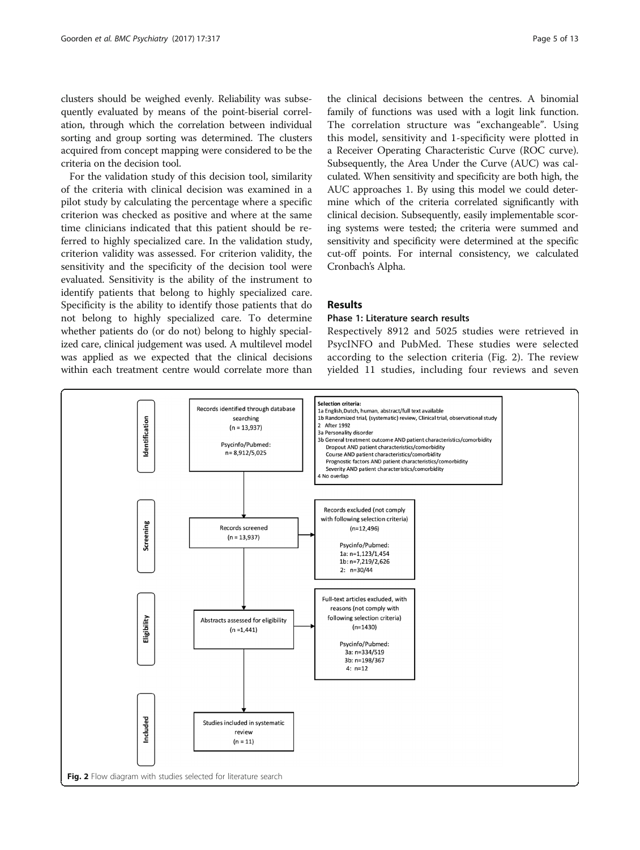clusters should be weighed evenly. Reliability was subsequently evaluated by means of the point-biserial correlation, through which the correlation between individual sorting and group sorting was determined. The clusters acquired from concept mapping were considered to be the criteria on the decision tool.

For the validation study of this decision tool, similarity of the criteria with clinical decision was examined in a pilot study by calculating the percentage where a specific criterion was checked as positive and where at the same time clinicians indicated that this patient should be referred to highly specialized care. In the validation study, criterion validity was assessed. For criterion validity, the sensitivity and the specificity of the decision tool were evaluated. Sensitivity is the ability of the instrument to identify patients that belong to highly specialized care. Specificity is the ability to identify those patients that do not belong to highly specialized care. To determine whether patients do (or do not) belong to highly specialized care, clinical judgement was used. A multilevel model was applied as we expected that the clinical decisions within each treatment centre would correlate more than

the clinical decisions between the centres. A binomial family of functions was used with a logit link function. The correlation structure was "exchangeable". Using this model, sensitivity and 1-specificity were plotted in a Receiver Operating Characteristic Curve (ROC curve). Subsequently, the Area Under the Curve (AUC) was calculated. When sensitivity and specificity are both high, the AUC approaches 1. By using this model we could determine which of the criteria correlated significantly with clinical decision. Subsequently, easily implementable scoring systems were tested; the criteria were summed and sensitivity and specificity were determined at the specific cut-off points. For internal consistency, we calculated Cronbach's Alpha.

# Results

# Phase 1: Literature search results

Respectively 8912 and 5025 studies were retrieved in PsycINFO and PubMed. These studies were selected according to the selection criteria (Fig. 2). The review yielded 11 studies, including four reviews and seven

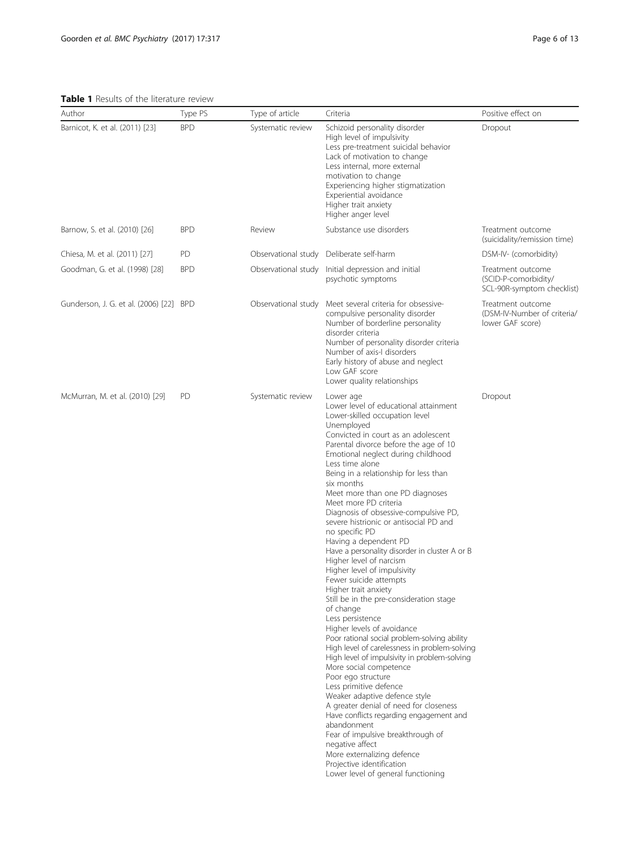<span id="page-5-0"></span>Table 1 Results of the literature review

| Author                                  | Type PS    | Type of article     | Criteria                                                                                                                                                                                                                                                                                                                                                                                                                                                                                                                                                                                                                                                                                                                                                                                                                                                                                                                                                                                                                                                                                                                                                                                                                                                                                     | Positive effect on                                                      |
|-----------------------------------------|------------|---------------------|----------------------------------------------------------------------------------------------------------------------------------------------------------------------------------------------------------------------------------------------------------------------------------------------------------------------------------------------------------------------------------------------------------------------------------------------------------------------------------------------------------------------------------------------------------------------------------------------------------------------------------------------------------------------------------------------------------------------------------------------------------------------------------------------------------------------------------------------------------------------------------------------------------------------------------------------------------------------------------------------------------------------------------------------------------------------------------------------------------------------------------------------------------------------------------------------------------------------------------------------------------------------------------------------|-------------------------------------------------------------------------|
| Barnicot, K. et al. (2011) [23]         | <b>BPD</b> | Systematic review   | Schizoid personality disorder<br>High level of impulsivity<br>Less pre-treatment suicidal behavior<br>Lack of motivation to change<br>Less internal, more external<br>motivation to change<br>Experiencing higher stigmatization<br>Experiential avoidance<br>Higher trait anxiety<br>Higher anger level                                                                                                                                                                                                                                                                                                                                                                                                                                                                                                                                                                                                                                                                                                                                                                                                                                                                                                                                                                                     | Dropout                                                                 |
| Barnow, S. et al. (2010) [26]           | <b>BPD</b> | Review              | Substance use disorders                                                                                                                                                                                                                                                                                                                                                                                                                                                                                                                                                                                                                                                                                                                                                                                                                                                                                                                                                                                                                                                                                                                                                                                                                                                                      | Treatment outcome<br>(suicidality/remission time)                       |
| Chiesa, M. et al. (2011) [27]           | PD         | Observational study | Deliberate self-harm                                                                                                                                                                                                                                                                                                                                                                                                                                                                                                                                                                                                                                                                                                                                                                                                                                                                                                                                                                                                                                                                                                                                                                                                                                                                         | DSM-IV- (comorbidity)                                                   |
| Goodman, G. et al. (1998) [28]          | <b>BPD</b> | Observational study | Initial depression and initial<br>psychotic symptoms                                                                                                                                                                                                                                                                                                                                                                                                                                                                                                                                                                                                                                                                                                                                                                                                                                                                                                                                                                                                                                                                                                                                                                                                                                         | Treatment outcome<br>(SCID-P-comorbidity/<br>SCL-90R-symptom checklist) |
| Gunderson, J. G. et al. (2006) [22] BPD |            | Observational study | Meet several criteria for obsessive-<br>compulsive personality disorder<br>Number of borderline personality<br>disorder criteria<br>Number of personality disorder criteria<br>Number of axis-I disorders<br>Early history of abuse and neglect<br>Low GAF score<br>Lower quality relationships                                                                                                                                                                                                                                                                                                                                                                                                                                                                                                                                                                                                                                                                                                                                                                                                                                                                                                                                                                                              | Treatment outcome<br>(DSM-IV-Number of criteria/<br>lower GAF score)    |
| McMurran, M. et al. (2010) [29]         | PD         | Systematic review   | Lower age<br>Lower level of educational attainment<br>Lower-skilled occupation level<br>Unemployed<br>Convicted in court as an adolescent<br>Parental divorce before the age of 10<br>Emotional neglect during childhood<br>Less time alone<br>Being in a relationship for less than<br>six months<br>Meet more than one PD diagnoses<br>Meet more PD criteria<br>Diagnosis of obsessive-compulsive PD,<br>severe histrionic or antisocial PD and<br>no specific PD<br>Having a dependent PD<br>Have a personality disorder in cluster A or B<br>Higher level of narcism<br>Higher level of impulsivity<br>Fewer suicide attempts<br>Higher trait anxiety<br>Still be in the pre-consideration stage<br>of change<br>Less persistence<br>Higher levels of avoidance<br>Poor rational social problem-solving ability<br>High level of carelessness in problem-solving<br>High level of impulsivity in problem-solving<br>More social competence<br>Poor ego structure<br>Less primitive defence<br>Weaker adaptive defence style<br>A greater denial of need for closeness<br>Have conflicts regarding engagement and<br>abandonment<br>Fear of impulsive breakthrough of<br>negative affect<br>More externalizing defence<br>Projective identification<br>Lower level of general functioning | Dropout                                                                 |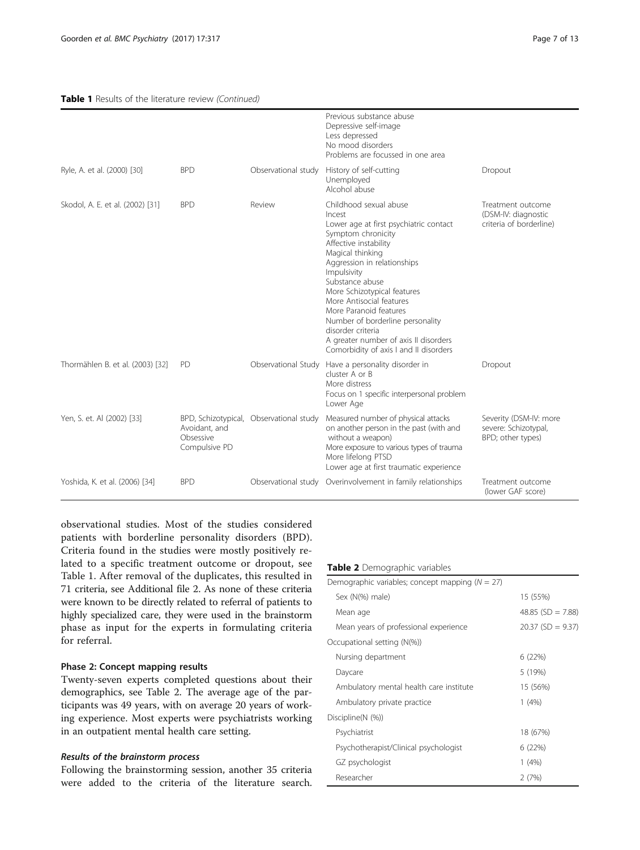#### Table 1 Results of the literature review (Continued)

|                                  |                                             |                                         | Previous substance abuse<br>Depressive self-image<br>Less depressed<br>No mood disorders<br>Problems are focussed in one area                                                                                                                                                                                                                                                                                                                   |                                                                     |
|----------------------------------|---------------------------------------------|-----------------------------------------|-------------------------------------------------------------------------------------------------------------------------------------------------------------------------------------------------------------------------------------------------------------------------------------------------------------------------------------------------------------------------------------------------------------------------------------------------|---------------------------------------------------------------------|
| Ryle, A. et al. (2000) [30]      | <b>BPD</b>                                  | Observational study                     | History of self-cutting<br>Unemployed<br>Alcohol abuse                                                                                                                                                                                                                                                                                                                                                                                          | Dropout                                                             |
| Skodol, A. E. et al. (2002) [31] | <b>BPD</b>                                  | Review                                  | Childhood sexual abuse<br>Incest<br>Lower age at first psychiatric contact<br>Symptom chronicity<br>Affective instability<br>Magical thinking<br>Aggression in relationships<br>Impulsivity<br>Substance abuse<br>More Schizotypical features<br>More Antisocial features<br>More Paranoid features<br>Number of borderline personality<br>disorder criteria<br>A greater number of axis II disorders<br>Comorbidity of axis I and II disorders | Treatment outcome<br>(DSM-IV: diagnostic<br>criteria of borderline) |
| Thormählen B. et al. (2003) [32] | PD                                          | Observational Study                     | Have a personality disorder in<br>cluster A or B<br>More distress<br>Focus on 1 specific interpersonal problem<br>Lower Age                                                                                                                                                                                                                                                                                                                     | Dropout                                                             |
| Yen, S. et. Al (2002) [33]       | Avoidant, and<br>Obsessive<br>Compulsive PD | BPD, Schizotypical, Observational study | Measured number of physical attacks<br>on another person in the past (with and<br>without a weapon)<br>More exposure to various types of trauma<br>More lifelong PTSD<br>Lower age at first traumatic experience                                                                                                                                                                                                                                | Severity (DSM-IV: more<br>severe: Schizotypal,<br>BPD; other types) |
| Yoshida, K. et al. (2006) [34]   | <b>BPD</b>                                  | Observational study                     | Overinvolvement in family relationships                                                                                                                                                                                                                                                                                                                                                                                                         | Treatment outcome<br>(lower GAF score)                              |

observational studies. Most of the studies considered patients with borderline personality disorders (BPD). Criteria found in the studies were mostly positively related to a specific treatment outcome or dropout, see Table [1](#page-5-0). After removal of the duplicates, this resulted in 71 criteria, see Additional file [2.](#page-11-0) As none of these criteria were known to be directly related to referral of patients to highly specialized care, they were used in the brainstorm phase as input for the experts in formulating criteria for referral.

# Phase 2: Concept mapping results

Twenty-seven experts completed questions about their demographics, see Table 2. The average age of the participants was 49 years, with on average 20 years of working experience. Most experts were psychiatrists working in an outpatient mental health care setting.

# Results of the brainstorm process

Following the brainstorming session, another 35 criteria were added to the criteria of the literature search.

# Table 2 Demographic variables

| Demographic variables; concept mapping ( $N = 27$ ) |                     |
|-----------------------------------------------------|---------------------|
| Sex (N(%) male)                                     | 15 (55%)            |
| Mean age                                            | 48.85 $(SD = 7.88)$ |
| Mean years of professional experience               | $20.37(SD = 9.37)$  |
| Occupational setting (N(%))                         |                     |
| Nursing department                                  | 6(22%)              |
| Daycare                                             | 5 (19%)             |
| Ambulatory mental health care institute             | 15 (56%)            |
| Ambulatory private practice                         | 1(4%)               |
| Discipline(N (%))                                   |                     |
| Psychiatrist                                        | 18 (67%)            |
| Psychotherapist/Clinical psychologist               | 6(22%)              |
| GZ psychologist                                     | 1(4%)               |
| Researcher                                          | 2(7%)               |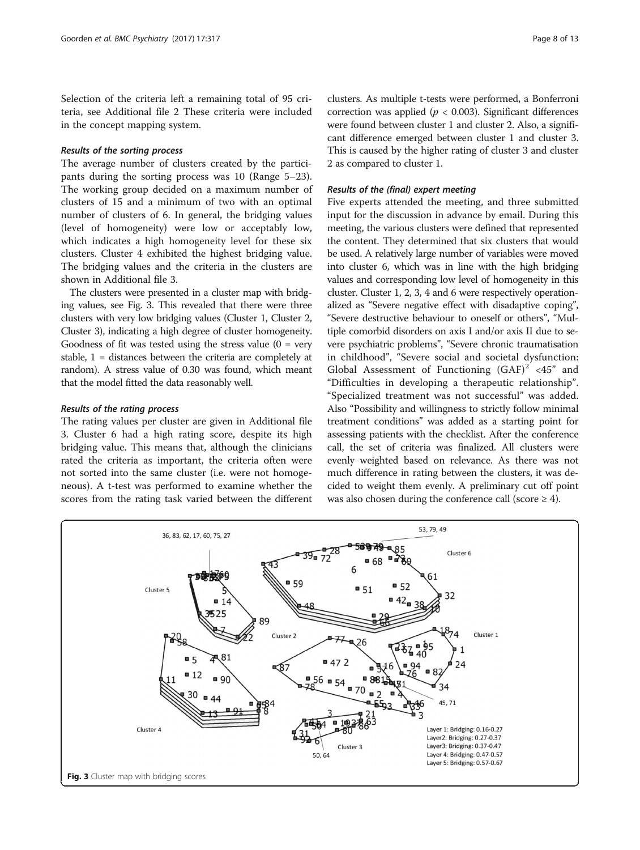Selection of the criteria left a remaining total of 95 criteria, see Additional file [2](#page-11-0) These criteria were included in the concept mapping system.

## Results of the sorting process

The average number of clusters created by the participants during the sorting process was 10 (Range 5–23). The working group decided on a maximum number of clusters of 15 and a minimum of two with an optimal number of clusters of 6. In general, the bridging values (level of homogeneity) were low or acceptably low, which indicates a high homogeneity level for these six clusters. Cluster 4 exhibited the highest bridging value. The bridging values and the criteria in the clusters are shown in Additional file [3](#page-11-0).

The clusters were presented in a cluster map with bridging values, see Fig. 3. This revealed that there were three clusters with very low bridging values (Cluster 1, Cluster 2, Cluster 3), indicating a high degree of cluster homogeneity. Goodness of fit was tested using the stress value  $(0 = \text{very})$ stable, 1 = distances between the criteria are completely at random). A stress value of 0.30 was found, which meant that the model fitted the data reasonably well.

#### Results of the rating process

The rating values per cluster are given in Additional file [3.](#page-11-0) Cluster 6 had a high rating score, despite its high bridging value. This means that, although the clinicians rated the criteria as important, the criteria often were not sorted into the same cluster (i.e. were not homogeneous). A t-test was performed to examine whether the scores from the rating task varied between the different

clusters. As multiple t-tests were performed, a Bonferroni correction was applied ( $p < 0.003$ ). Significant differences were found between cluster 1 and cluster 2. Also, a significant difference emerged between cluster 1 and cluster 3. This is caused by the higher rating of cluster 3 and cluster 2 as compared to cluster 1.

#### Results of the (final) expert meeting

Five experts attended the meeting, and three submitted input for the discussion in advance by email. During this meeting, the various clusters were defined that represented the content. They determined that six clusters that would be used. A relatively large number of variables were moved into cluster 6, which was in line with the high bridging values and corresponding low level of homogeneity in this cluster. Cluster 1, 2, 3, 4 and 6 were respectively operationalized as "Severe negative effect with disadaptive coping", "Severe destructive behaviour to oneself or others", "Multiple comorbid disorders on axis I and/or axis II due to severe psychiatric problems", "Severe chronic traumatisation in childhood", "Severe social and societal dysfunction: Global Assessment of Functioning  $(GAF)^2 < 45$ " and "Difficulties in developing a therapeutic relationship". "Specialized treatment was not successful" was added. Also "Possibility and willingness to strictly follow minimal treatment conditions" was added as a starting point for assessing patients with the checklist. After the conference call, the set of criteria was finalized. All clusters were evenly weighted based on relevance. As there was not much difference in rating between the clusters, it was decided to weight them evenly. A preliminary cut off point was also chosen during the conference call (score  $\geq 4$ ).

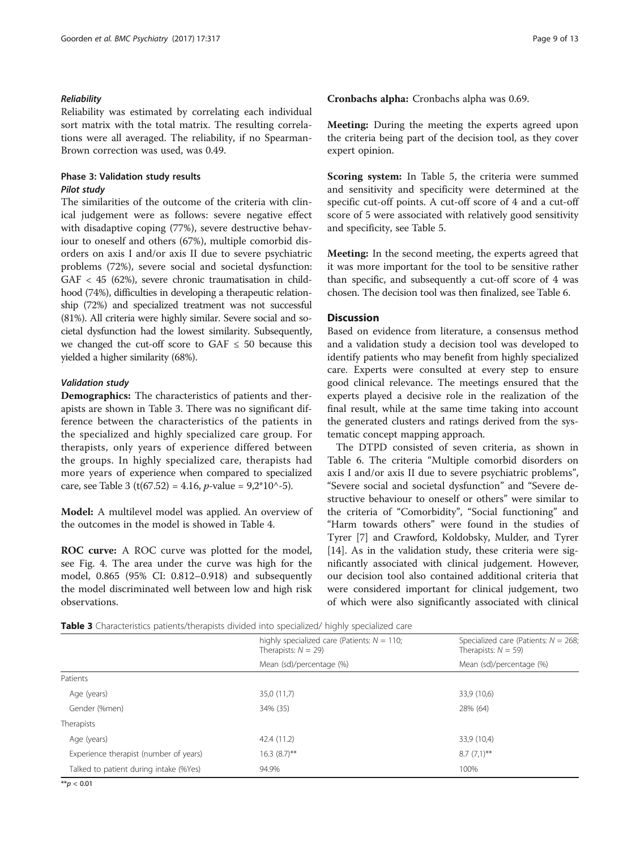# **Reliability**

Reliability was estimated by correlating each individual sort matrix with the total matrix. The resulting correlations were all averaged. The reliability, if no Spearman-Brown correction was used, was 0.49.

# Phase 3: Validation study results Pilot study

The similarities of the outcome of the criteria with clinical judgement were as follows: severe negative effect with disadaptive coping (77%), severe destructive behaviour to oneself and others (67%), multiple comorbid disorders on axis I and/or axis II due to severe psychiatric problems (72%), severe social and societal dysfunction: GAF < 45 (62%), severe chronic traumatisation in childhood (74%), difficulties in developing a therapeutic relationship (72%) and specialized treatment was not successful (81%). All criteria were highly similar. Severe social and societal dysfunction had the lowest similarity. Subsequently, we changed the cut-off score to GAF  $\leq$  50 because this yielded a higher similarity (68%).

## Validation study

Demographics: The characteristics of patients and therapists are shown in Table 3. There was no significant difference between the characteristics of the patients in the specialized and highly specialized care group. For therapists, only years of experience differed between the groups. In highly specialized care, therapists had more years of experience when compared to specialized care, see Table 3 (t(67.52) = 4.16, *p*-value =  $9,2*10^{\circ}$ -5).

Model: A multilevel model was applied. An overview of the outcomes in the model is showed in Table [4.](#page-9-0)

ROC curve: A ROC curve was plotted for the model, see Fig. [4.](#page-9-0) The area under the curve was high for the model, 0.865 (95% CI: 0.812–0.918) and subsequently the model discriminated well between low and high risk observations.

Cronbachs alpha: Cronbachs alpha was 0.69.

Meeting: During the meeting the experts agreed upon the criteria being part of the decision tool, as they cover expert opinion.

Scoring system: In Table [5](#page-9-0), the criteria were summed and sensitivity and specificity were determined at the specific cut-off points. A cut-off score of 4 and a cut-off score of 5 were associated with relatively good sensitivity and specificity, see Table [5](#page-9-0).

Meeting: In the second meeting, the experts agreed that it was more important for the tool to be sensitive rather than specific, and subsequently a cut-off score of 4 was chosen. The decision tool was then finalized, see Table [6.](#page-10-0)

## **Discussion**

Based on evidence from literature, a consensus method and a validation study a decision tool was developed to identify patients who may benefit from highly specialized care. Experts were consulted at every step to ensure good clinical relevance. The meetings ensured that the experts played a decisive role in the realization of the final result, while at the same time taking into account the generated clusters and ratings derived from the systematic concept mapping approach.

The DTPD consisted of seven criteria, as shown in Table [6.](#page-10-0) The criteria "Multiple comorbid disorders on axis I and/or axis II due to severe psychiatric problems", "Severe social and societal dysfunction" and "Severe destructive behaviour to oneself or others" were similar to the criteria of "Comorbidity", "Social functioning" and "Harm towards others" were found in the studies of Tyrer [[7\]](#page-11-0) and Crawford, Koldobsky, Mulder, and Tyrer [[14\]](#page-11-0). As in the validation study, these criteria were significantly associated with clinical judgement. However, our decision tool also contained additional criteria that were considered important for clinical judgement, two of which were also significantly associated with clinical

Table 3 Characteristics patients/therapists divided into specialized/ highly specialized care

|                                        | highly specialized care (Patients: $N = 110$ ;<br>Therapists: $N = 29$ ) | Specialized care (Patients: $N = 268$ ;<br>Therapists: $N = 59$ )<br>Mean (sd)/percentage (%) |  |
|----------------------------------------|--------------------------------------------------------------------------|-----------------------------------------------------------------------------------------------|--|
|                                        | Mean (sd)/percentage (%)                                                 |                                                                                               |  |
| Patients                               |                                                                          |                                                                                               |  |
| Age (years)                            | 35,0 (11,7)                                                              | 33,9 (10,6)                                                                                   |  |
| Gender (%men)                          | 34% (35)                                                                 | 28% (64)                                                                                      |  |
| Therapists                             |                                                                          |                                                                                               |  |
| Age (years)                            | 42.4 (11.2)                                                              | 33,9 (10,4)                                                                                   |  |
| Experience therapist (number of years) | $16.3 (8.7)$ **                                                          | $8.7(7,1)$ **                                                                                 |  |
| Talked to patient during intake (%Yes) | 94.9%                                                                    | 100%                                                                                          |  |

 $**p < 0.01$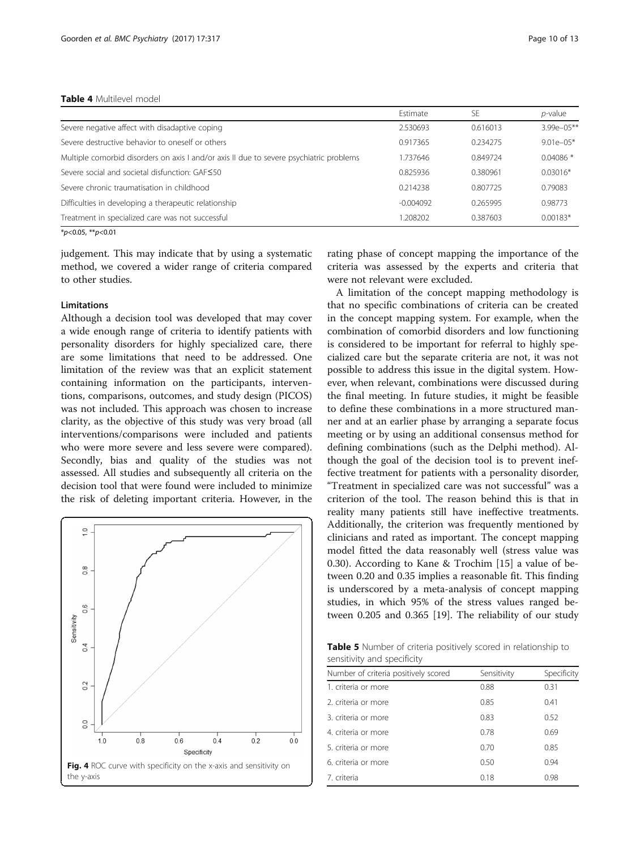### <span id="page-9-0"></span>Table 4 Multilevel model

|                                                                                         | Estimate    | <b>SE</b> | $p$ -value    |
|-----------------------------------------------------------------------------------------|-------------|-----------|---------------|
| Severe negative affect with disadaptive coping                                          | 2.530693    | 0.616013  | 3.99e-05**    |
| Severe destructive behavior to oneself or others                                        | 0.917365    | 0.234275  | $9.01e - 05*$ |
| Multiple comorbid disorders on axis I and/or axis II due to severe psychiatric problems | 1.737646    | 0.849724  | $0.04086*$    |
| Severe social and societal disfunction: GAF≤50                                          | 0.825936    | 0.380961  | $0.03016*$    |
| Severe chronic traumatisation in childhood                                              | 0.214238    | 0.807725  | 0.79083       |
| Difficulties in developing a therapeutic relationship                                   | $-0.004092$ | 0.265995  | 0.98773       |
| Treatment in specialized care was not successful                                        | .208202     | 0.387603  | $0.00183*$    |
|                                                                                         |             |           |               |

 $*_{p<0.05,}$   $*_{p<0.01}$ 

judgement. This may indicate that by using a systematic method, we covered a wider range of criteria compared to other studies.

# Limitations

Although a decision tool was developed that may cover a wide enough range of criteria to identify patients with personality disorders for highly specialized care, there are some limitations that need to be addressed. One limitation of the review was that an explicit statement containing information on the participants, interventions, comparisons, outcomes, and study design (PICOS) was not included. This approach was chosen to increase clarity, as the objective of this study was very broad (all interventions/comparisons were included and patients who were more severe and less severe were compared). Secondly, bias and quality of the studies was not assessed. All studies and subsequently all criteria on the decision tool that were found were included to minimize the risk of deleting important criteria. However, in the



rating phase of concept mapping the importance of the criteria was assessed by the experts and criteria that were not relevant were excluded.

A limitation of the concept mapping methodology is that no specific combinations of criteria can be created in the concept mapping system. For example, when the combination of comorbid disorders and low functioning is considered to be important for referral to highly specialized care but the separate criteria are not, it was not possible to address this issue in the digital system. However, when relevant, combinations were discussed during the final meeting. In future studies, it might be feasible to define these combinations in a more structured manner and at an earlier phase by arranging a separate focus meeting or by using an additional consensus method for defining combinations (such as the Delphi method). Although the goal of the decision tool is to prevent ineffective treatment for patients with a personality disorder, "Treatment in specialized care was not successful" was a criterion of the tool. The reason behind this is that in reality many patients still have ineffective treatments. Additionally, the criterion was frequently mentioned by clinicians and rated as important. The concept mapping model fitted the data reasonably well (stress value was 0.30). According to Kane & Trochim [[15\]](#page-11-0) a value of between 0.20 and 0.35 implies a reasonable fit. This finding is underscored by a meta-analysis of concept mapping studies, in which 95% of the stress values ranged between 0.205 and 0.365 [\[19\]](#page-11-0). The reliability of our study

Table 5 Number of criteria positively scored in relationship to sensitivity and specificity

| Number of criteria positively scored | Sensitivity | Specificity |
|--------------------------------------|-------------|-------------|
| 1. criteria or more                  | 0.88        | 0.31        |
| 2. criteria or more                  | 0.85        | 0.41        |
| 3 criteria or more                   | 0.83        | 0.52        |
| 4. criteria or more                  | 0.78        | 0.69        |
| 5. criteria or more                  | 0.70        | 0.85        |
| 6. criteria or more                  | 0.50        | 0.94        |
| 7. criteria                          | 0.18        | 0.98        |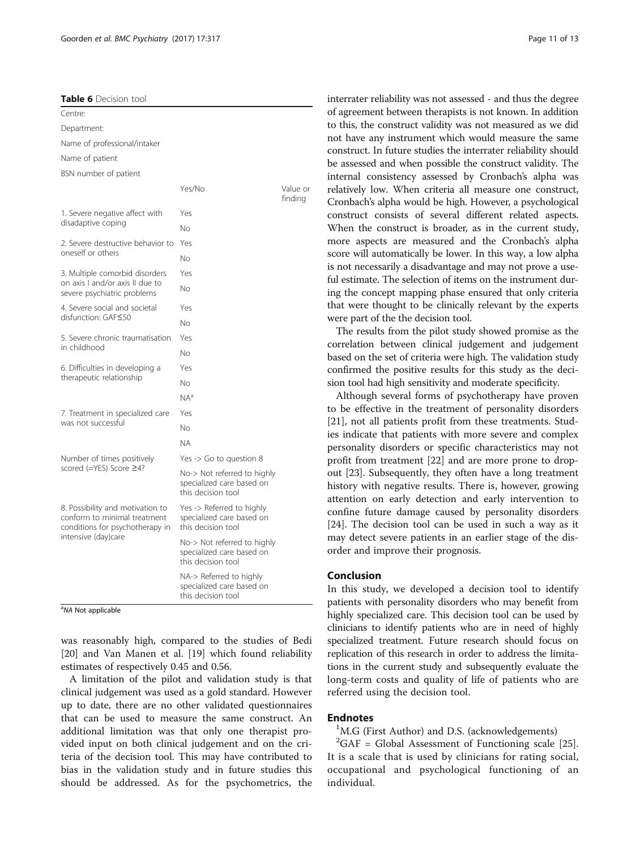<span id="page-10-0"></span>

|  | <b>Table 6</b> Decision tool |  |
|--|------------------------------|--|
|--|------------------------------|--|

| <b>TADIE O</b> DECISION LOOI                                                                        |                                                                                |                     |
|-----------------------------------------------------------------------------------------------------|--------------------------------------------------------------------------------|---------------------|
| Centre:                                                                                             |                                                                                |                     |
| Department:                                                                                         |                                                                                |                     |
| Name of professional/intaker                                                                        |                                                                                |                     |
| Name of patient                                                                                     |                                                                                |                     |
| BSN number of patient                                                                               |                                                                                |                     |
|                                                                                                     | Yes/No                                                                         | Value or<br>finding |
| 1. Severe negative affect with                                                                      | Yes                                                                            |                     |
| disadaptive coping                                                                                  | No                                                                             |                     |
| 2. Severe destructive behavior to                                                                   | Yes                                                                            |                     |
| oneself or others                                                                                   | No                                                                             |                     |
| 3. Multiple comorbid disorders                                                                      | Yes                                                                            |                     |
| on axis I and/or axis II due to<br>severe psychiatric problems                                      | No                                                                             |                     |
| 4. Severe social and societal                                                                       | Yes                                                                            |                     |
| disfunction: GAF≤50                                                                                 | No                                                                             |                     |
| 5. Severe chronic traumatisation                                                                    | Yes                                                                            |                     |
| in childhood                                                                                        | No                                                                             |                     |
| 6. Difficulties in developing a                                                                     | Yes                                                                            |                     |
| therapeutic relationship                                                                            | Νo                                                                             |                     |
|                                                                                                     | $NA^a$                                                                         |                     |
| 7. Treatment in specialized care                                                                    | Yes                                                                            |                     |
| was not successful                                                                                  | No                                                                             |                     |
|                                                                                                     | <b>NA</b>                                                                      |                     |
| Number of times positively                                                                          | Yes -> Go to question 8                                                        |                     |
| scored (=YES) Score ≥4?                                                                             | No-> Not referred to highly<br>specialized care based on<br>this decision tool |                     |
| 8. Possibility and motivation to<br>conform to minimal treatment<br>conditions for psychotherapy in | Yes -> Referred to highly<br>specialized care based on<br>this decision tool   |                     |
| intensive (day)care                                                                                 | No-> Not referred to highly<br>specialized care based on<br>this decision tool |                     |
|                                                                                                     | NA-> Referred to highly<br>specialized care based on<br>this decision tool     |                     |
| <sup>a</sup> NA Not applicable                                                                      |                                                                                |                     |

was reasonably high, compared to the studies of Bedi [[20\]](#page-11-0) and Van Manen et al. [\[19](#page-11-0)] which found reliability estimates of respectively 0.45 and 0.56.

A limitation of the pilot and validation study is that clinical judgement was used as a gold standard. However up to date, there are no other validated questionnaires that can be used to measure the same construct. An additional limitation was that only one therapist provided input on both clinical judgement and on the criteria of the decision tool. This may have contributed to bias in the validation study and in future studies this should be addressed. As for the psychometrics, the interrater reliability was not assessed - and thus the degree of agreement between therapists is not known. In addition to this, the construct validity was not measured as we did not have any instrument which would measure the same construct. In future studies the interrater reliability should be assessed and when possible the construct validity. The internal consistency assessed by Cronbach's alpha was relatively low. When criteria all measure one construct, Cronbach's alpha would be high. However, a psychological construct consists of several different related aspects. When the construct is broader, as in the current study, more aspects are measured and the Cronbach's alpha score will automatically be lower. In this way, a low alpha is not necessarily a disadvantage and may not prove a useful estimate. The selection of items on the instrument during the concept mapping phase ensured that only criteria that were thought to be clinically relevant by the experts were part of the the decision tool.

The results from the pilot study showed promise as the correlation between clinical judgement and judgement based on the set of criteria were high. The validation study confirmed the positive results for this study as the decision tool had high sensitivity and moderate specificity.

Although several forms of psychotherapy have proven to be effective in the treatment of personality disorders [[21\]](#page-11-0), not all patients profit from these treatments. Studies indicate that patients with more severe and complex personality disorders or specific characteristics may not profit from treatment [[22\]](#page-11-0) and are more prone to dropout [[23\]](#page-11-0). Subsequently, they often have a long treatment history with negative results. There is, however, growing attention on early detection and early intervention to confine future damage caused by personality disorders [[24\]](#page-11-0). The decision tool can be used in such a way as it may detect severe patients in an earlier stage of the disorder and improve their prognosis.

# Conclusion

In this study, we developed a decision tool to identify patients with personality disorders who may benefit from highly specialized care. This decision tool can be used by clinicians to identify patients who are in need of highly specialized treatment. Future research should focus on replication of this research in order to address the limitations in the current study and subsequently evaluate the long-term costs and quality of life of patients who are referred using the decision tool.

# **Endnotes**

<sup>1</sup>M.G (First Author) and D.S. (acknowledgements)

 ${}^{2}$ GAF = Global Assessment of Functioning scale [\[25](#page-12-0)]. It is a scale that is used by clinicians for rating social, occupational and psychological functioning of an individual.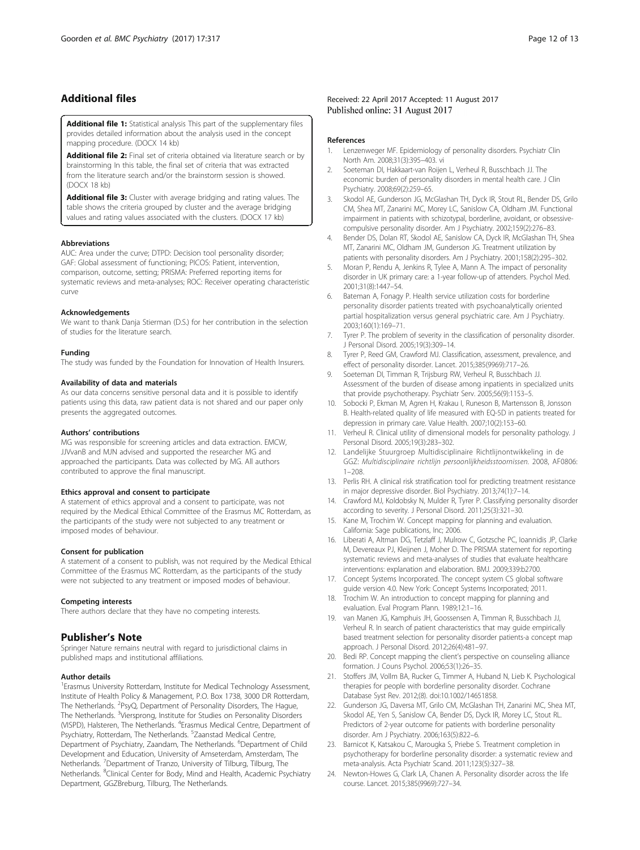# <span id="page-11-0"></span>Additional files

[Additional file 1:](dx.doi.org/10.1186/s12888-017-1460-6) Statistical analysis This part of the supplementary files provides detailed information about the analysis used in the concept mapping procedure. (DOCX 14 kb)

[Additional file 2:](dx.doi.org/10.1186/s12888-017-1460-6) Final set of criteria obtained via literature search or by brainstorming In this table, the final set of criteria that was extracted from the literature search and/or the brainstorm session is showed. (DOCX 18 kb)

[Additional file 3:](dx.doi.org/10.1186/s12888-017-1460-6) Cluster with average bridging and rating values. The table shows the criteria grouped by cluster and the average bridging values and rating values associated with the clusters. (DOCX 17 kb)

#### Abbreviations

AUC: Area under the curve; DTPD: Decision tool personality disorder; GAF: Global assessment of functioning; PICOS: Patient, intervention, comparison, outcome, setting; PRISMA: Preferred reporting items for systematic reviews and meta-analyses; ROC: Receiver operating characteristic curve

#### Acknowledgements

We want to thank Danja Stierman (D.S.) for her contribution in the selection of studies for the literature search.

#### Funding

The study was funded by the Foundation for Innovation of Health Insurers.

#### Availability of data and materials

As our data concerns sensitive personal data and it is possible to identify patients using this data, raw patient data is not shared and our paper only presents the aggregated outcomes.

#### Authors' contributions

MG was responsible for screening articles and data extraction. EMCW, JJVvanB and MJN advised and supported the researcher MG and approached the participants. Data was collected by MG. All authors contributed to approve the final manuscript.

#### Ethics approval and consent to participate

A statement of ethics approval and a consent to participate, was not required by the Medical Ethical Committee of the Erasmus MC Rotterdam, as the participants of the study were not subjected to any treatment or imposed modes of behaviour.

#### Consent for publication

A statement of a consent to publish, was not required by the Medical Ethical Committee of the Erasmus MC Rotterdam, as the participants of the study were not subjected to any treatment or imposed modes of behaviour.

#### Competing interests

There authors declare that they have no competing interests.

#### Publisher's Note

Springer Nature remains neutral with regard to jurisdictional claims in published maps and institutional affiliations.

#### Author details

<sup>1</sup> Erasmus University Rotterdam, Institute for Medical Technology Assessment, Institute of Health Policy & Management, P.O. Box 1738, 3000 DR Rotterdam, The Netherlands. <sup>2</sup>PsyQ, Department of Personality Disorders, The Hague, The Netherlands. <sup>3</sup>Viersprong, Institute for Studies on Personality Disorders (VISPD), Halsteren, The Netherlands. <sup>4</sup>Erasmus Medical Centre, Department of Psychiatry, Rotterdam, The Netherlands. <sup>5</sup>Zaanstad Medical Centre, Department of Psychiatry, Zaandam, The Netherlands. <sup>6</sup>Department of Child Development and Education, University of Amseterdam, Amsterdam, The Netherlands. <sup>7</sup>Department of Tranzo, University of Tilburg, Tilburg, The Netherlands. <sup>8</sup>Clinical Center for Body, Mind and Health, Academic Psychiatry Department, GGZBreburg, Tilburg, The Netherlands.

#### Received: 22 April 2017 Accepted: 11 August 2017 Published online: 31 August 2017

#### References

- 1. Lenzenweger MF. Epidemiology of personality disorders. Psychiatr Clin North Am. 2008;31(3):395–403. vi
- 2. Soeteman DI, Hakkaart-van Roijen L, Verheul R, Busschbach JJ. The economic burden of personality disorders in mental health care. J Clin Psychiatry. 2008;69(2):259–65.
- 3. Skodol AE, Gunderson JG, McGlashan TH, Dyck IR, Stout RL, Bender DS, Grilo CM, Shea MT, Zanarini MC, Morey LC, Sanislow CA, Oldham JM. Functional impairment in patients with schizotypal, borderline, avoidant, or obsessivecompulsive personality disorder. Am J Psychiatry. 2002;159(2):276–83.
- 4. Bender DS, Dolan RT, Skodol AE, Sanislow CA, Dyck IR, McGlashan TH, Shea MT, Zanarini MC, Oldham JM, Gunderson JG. Treatment utilization by patients with personality disorders. Am J Psychiatry. 2001;158(2):295–302.
- 5. Moran P, Rendu A, Jenkins R, Tylee A, Mann A. The impact of personality disorder in UK primary care: a 1-year follow-up of attenders. Psychol Med. 2001;31(8):1447–54.
- 6. Bateman A, Fonagy P. Health service utilization costs for borderline personality disorder patients treated with psychoanalytically oriented partial hospitalization versus general psychiatric care. Am J Psychiatry. 2003;160(1):169–71.
- 7. Tyrer P. The problem of severity in the classification of personality disorder. J Personal Disord. 2005;19(3):309–14.
- 8. Tyrer P, Reed GM, Crawford MJ. Classification, assessment, prevalence, and effect of personality disorder. Lancet. 2015;385(9969):717–26. 9. Soeteman DI, Timman R, Trijsburg RW, Verheul R, Busschbach JJ.
- Assessment of the burden of disease among inpatients in specialized units that provide psychotherapy. Psychiatr Serv. 2005;56(9):1153–5.
- 10. Sobocki P, Ekman M, Agren H, Krakau I, Runeson B, Martensson B, Jonsson B. Health-related quality of life measured with EQ-5D in patients treated for depression in primary care. Value Health. 2007;10(2):153–60.
- 11. Verheul R. Clinical utility of dimensional models for personality pathology. J Personal Disord. 2005;19(3):283–302.
- 12. Landelijke Stuurgroep Multidisciplinaire Richtlijnontwikkeling in de GGZ: Multidisciplinaire richtlijn persoonlijkheidsstoornissen. 2008, AF0806: 1–208.
- 13. Perlis RH. A clinical risk stratification tool for predicting treatment resistance in major depressive disorder. Biol Psychiatry. 2013;74(1):7–14.
- 14. Crawford MJ, Koldobsky N, Mulder R, Tyrer P. Classifying personality disorder according to severity. J Personal Disord. 2011;25(3):321–30.
- 15. Kane M, Trochim W. Concept mapping for planning and evaluation. California: Sage publications, Inc; 2006.
- 16. Liberati A, Altman DG, Tetzlaff J, Mulrow C, Gotzsche PC, Ioannidis JP, Clarke M, Devereaux PJ, Kleijnen J, Moher D. The PRISMA statement for reporting systematic reviews and meta-analyses of studies that evaluate healthcare interventions: explanation and elaboration. BMJ. 2009;339:b2700.
- 17. Concept Systems Incorporated. The concept system CS global software guide version 4.0. New York: Concept Systems Incorporated; 2011.
- 18. Trochim W. An introduction to concept mapping for planning and evaluation. Eval Program Plann. 1989;12:1–16.
- 19. van Manen JG, Kamphuis JH, Goossensen A, Timman R, Busschbach JJ, Verheul R. In search of patient characteristics that may guide empirically based treatment selection for personality disorder patients-a concept map approach. J Personal Disord. 2012;26(4):481–97.
- 20. Bedi RP. Concept mapping the client's perspective on counseling alliance formation. J Couns Psychol. 2006;53(1):26–35.
- 21. Stoffers JM, Vollm BA, Rucker G, Timmer A, Huband N, Lieb K. Psychological therapies for people with borderline personality disorder. Cochrane Database Syst Rev. 2012;(8). doi[:10.1002/14651858.](http://dx.doi.org/10.1002/14651858)
- 22. Gunderson JG, Daversa MT, Grilo CM, McGlashan TH, Zanarini MC, Shea MT, Skodol AE, Yen S, Sanislow CA, Bender DS, Dyck IR, Morey LC, Stout RL. Predictors of 2-year outcome for patients with borderline personality disorder. Am J Psychiatry. 2006;163(5):822–6.
- 23. Barnicot K, Katsakou C, Marougka S, Priebe S. Treatment completion in psychotherapy for borderline personality disorder: a systematic review and meta-analysis. Acta Psychiatr Scand. 2011;123(5):327–38.
- 24. Newton-Howes G, Clark LA, Chanen A. Personality disorder across the life course. Lancet. 2015;385(9969):727–34.